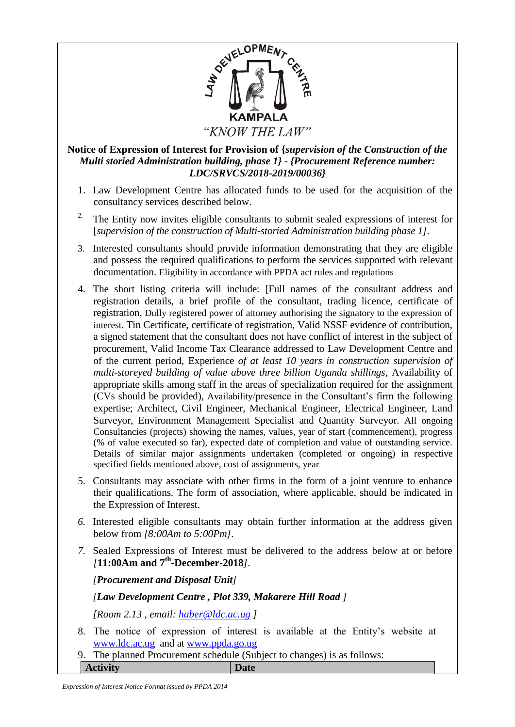

## **Notice of Expression of Interest for Provision of {***supervision of the Construction of the Multi storied Administration building, phase 1}* **-** *{Procurement Reference number: LDC/SRVCS/2018-2019/00036}*

- 1. Law Development Centre has allocated funds to be used for the acquisition of the consultancy services described below.
- <sup>2.</sup> The Entity now invites eligible consultants to submit sealed expressions of interest for [*supervision of the construction of Multi-storied Administration building phase 1]*.
- 3. Interested consultants should provide information demonstrating that they are eligible and possess the required qualifications to perform the services supported with relevant documentation. Eligibility in accordance with PPDA act rules and regulations
- 4. The short listing criteria will include: [Full names of the consultant address and registration details, a brief profile of the consultant, trading licence, certificate of registration, Dully registered power of attorney authorising the signatory to the expression of interest. Tin Certificate, certificate of registration, Valid NSSF evidence of contribution, a signed statement that the consultant does not have conflict of interest in the subject of procurement, Valid Income Tax Clearance addressed to Law Development Centre and of the current period, Experience *of at least 10 years in construction supervision of multi-storeyed building of value above three billion Uganda shillings,* Availability of appropriate skills among staff in the areas of specialization required for the assignment (CVs should be provided), Availability/presence in the Consultant's firm the following expertise; Architect, Civil Engineer, Mechanical Engineer, Electrical Engineer, Land Surveyor, Environment Management Specialist and Quantity Surveyor. All ongoing Consultancies (projects) showing the names, values, year of start (commencement), progress (% of value executed so far), expected date of completion and value of outstanding service. Details of similar major assignments undertaken (completed or ongoing) in respective specified fields mentioned above, cost of assignments, year
- 5. Consultants may associate with other firms in the form of a joint venture to enhance their qualifications. The form of association, where applicable, should be indicated in the Expression of Interest.
- *6.* Interested eligible consultants may obtain further information at the address given below from *[8:00Am to 5:00Pm].*
- *7.* Sealed Expressions of Interest must be delivered to the address below at or before *[***11:00Am and 7 th -December-2018***].*

*[Procurement and Disposal Unit]*

## *[Law Development Centre , Plot 339, Makarere Hill Road ]*

*[Room 2.13 , email: [haber@ldc.ac.ug](mailto:haber@ldc.ac.ug) ]*

- 8. The notice of expression of interest is available at the Entity's website at [www.ldc.ac.ug](http://www.ldc.ac.ug/) and at [www.ppda.go.ug](http://www.ppda.go.ug/)
- 9. The planned Procurement schedule (Subject to changes) is as follows: